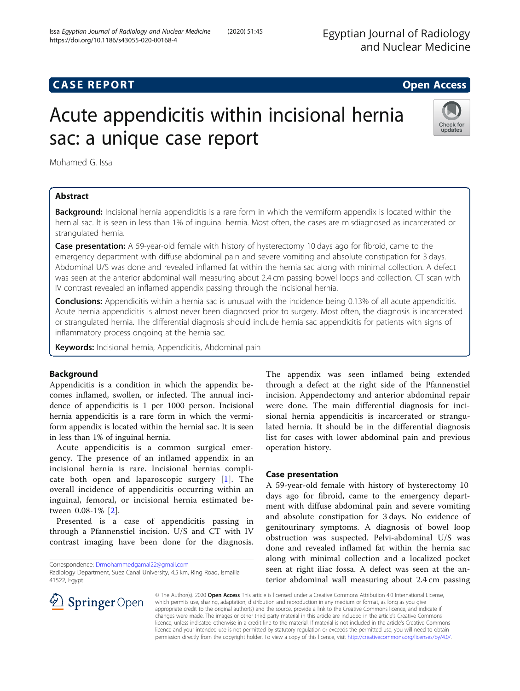# **CASE REPORT CASE REPORT CASE REPORT**

# Acute appendicitis within incisional hernia sac: a unique case report



Mohamed G. Issa

# Abstract

**Background:** Incisional hernia appendicitis is a rare form in which the vermiform appendix is located within the hernial sac. It is seen in less than 1% of inguinal hernia. Most often, the cases are misdiagnosed as incarcerated or strangulated hernia.

**Case presentation:** A 59-year-old female with history of hysterectomy 10 days ago for fibroid, came to the emergency department with diffuse abdominal pain and severe vomiting and absolute constipation for 3 days. Abdominal U/S was done and revealed inflamed fat within the hernia sac along with minimal collection. A defect was seen at the anterior abdominal wall measuring about 2.4 cm passing bowel loops and collection. CT scan with IV contrast revealed an inflamed appendix passing through the incisional hernia.

**Conclusions:** Appendicitis within a hernia sac is unusual with the incidence being 0.13% of all acute appendicitis. Acute hernia appendicitis is almost never been diagnosed prior to surgery. Most often, the diagnosis is incarcerated or strangulated hernia. The differential diagnosis should include hernia sac appendicitis for patients with signs of inflammatory process ongoing at the hernia sac.

Keywords: Incisional hernia, Appendicitis, Abdominal pain

# Background

Appendicitis is a condition in which the appendix becomes inflamed, swollen, or infected. The annual incidence of appendicitis is 1 per 1000 person. Incisional hernia appendicitis is a rare form in which the vermiform appendix is located within the hernial sac. It is seen in less than 1% of inguinal hernia.

Acute appendicitis is a common surgical emergency. The presence of an inflamed appendix in an incisional hernia is rare. Incisional hernias complicate both open and laparoscopic surgery [[1\]](#page-1-0). The overall incidence of appendicitis occurring within an inguinal, femoral, or incisional hernia estimated between 0.08-1% [[2\]](#page-1-0).

Presented is a case of appendicitis passing in through a Pfannenstiel incision. U/S and CT with IV contrast imaging have been done for the diagnosis.

Correspondence: [Drmohammedgamal22@gmail.com](mailto:Drmohammedgamal22@gmail.com) Radiology Department, Suez Canal University, 4.5 km, Ring Road, Ismailia

41522, Egypt

The appendix was seen inflamed being extended through a defect at the right side of the Pfannenstiel incision. Appendectomy and anterior abdominal repair were done. The main differential diagnosis for incisional hernia appendicitis is incarcerated or strangulated hernia. It should be in the differential diagnosis list for cases with lower abdominal pain and previous operation history.

## Case presentation

A 59-year-old female with history of hysterectomy 10 days ago for fibroid, came to the emergency department with diffuse abdominal pain and severe vomiting and absolute constipation for 3 days. No evidence of genitourinary symptoms. A diagnosis of bowel loop obstruction was suspected. Pelvi-abdominal U/S was done and revealed inflamed fat within the hernia sac along with minimal collection and a localized pocket seen at right iliac fossa. A defect was seen at the anterior abdominal wall measuring about 2.4 cm passing



© The Author(s). 2020 Open Access This article is licensed under a Creative Commons Attribution 4.0 International License, which permits use, sharing, adaptation, distribution and reproduction in any medium or format, as long as you give appropriate credit to the original author(s) and the source, provide a link to the Creative Commons licence, and indicate if changes were made. The images or other third party material in this article are included in the article's Creative Commons licence, unless indicated otherwise in a credit line to the material. If material is not included in the article's Creative Commons licence and your intended use is not permitted by statutory regulation or exceeds the permitted use, you will need to obtain permission directly from the copyright holder. To view a copy of this licence, visit <http://creativecommons.org/licenses/by/4.0/>.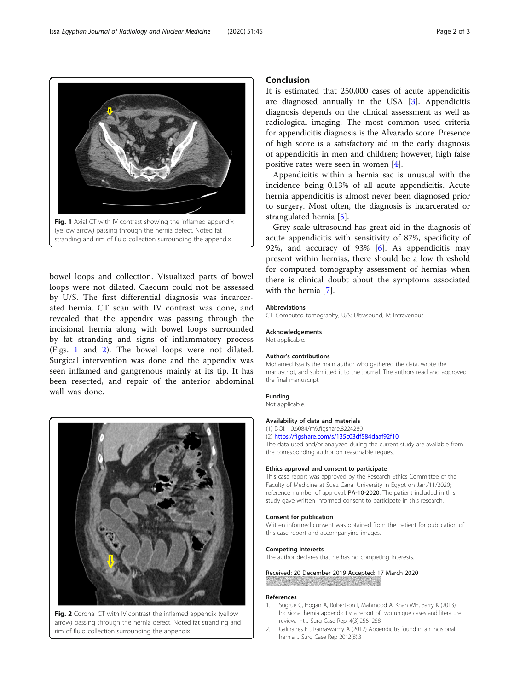bowel loops and collection. Visualized parts of bowel loops were not dilated. Caecum could not be assessed by U/S. The first differential diagnosis was incarcerated hernia. CT scan with IV contrast was done, and revealed that the appendix was passing through the incisional hernia along with bowel loops surrounded by fat stranding and signs of inflammatory process (Figs. 1 and 2). The bowel loops were not dilated. Surgical intervention was done and the appendix was seen inflamed and gangrenous mainly at its tip. It has been resected, and repair of the anterior abdominal wall was done.

Conclusion

It is estimated that 250,000 cases of acute appendicitis are diagnosed annually in the USA [[3\]](#page-2-0). Appendicitis diagnosis depends on the clinical assessment as well as radiological imaging. The most common used criteria for appendicitis diagnosis is the Alvarado score. Presence of high score is a satisfactory aid in the early diagnosis of appendicitis in men and children; however, high false positive rates were seen in women [[4](#page-2-0)].

Appendicitis within a hernia sac is unusual with the incidence being 0.13% of all acute appendicitis. Acute hernia appendicitis is almost never been diagnosed prior to surgery. Most often, the diagnosis is incarcerated or strangulated hernia [[5\]](#page-2-0).

Grey scale ultrasound has great aid in the diagnosis of acute appendicitis with sensitivity of 87%, specificity of 92%, and accuracy of 93% [\[6\]](#page-2-0). As appendicitis may present within hernias, there should be a low threshold for computed tomography assessment of hernias when there is clinical doubt about the symptoms associated with the hernia [\[7](#page-2-0)].

#### Abbreviations

CT: Computed tomography; U/S: Ultrasound; IV: Intravenous

#### Acknowledgements

Not applicable.

#### Author's contributions

Mohamed Issa is the main author who gathered the data, wrote the manuscript, and submitted it to the journal. The authors read and approved the final manuscript.

#### Funding

Not applicable.

#### Availability of data and materials

(1) DOI: 10.6084/m9.figshare.8224280

(2) <https://figshare.com/s/135c03df584daaf92f10>

The data used and/or analyzed during the current study are available from the corresponding author on reasonable request.

#### Ethics approval and consent to participate

This case report was approved by the Research Ethics Committee of the Faculty of Medicine at Suez Canal University in Egypt on Jan./11/2020; reference number of approval: PA-10-2020. The patient included in this study gave written informed consent to participate in this research.

#### Consent for publication

Written informed consent was obtained from the patient for publication of this case report and accompanying images.

#### Competing interests

The author declares that he has no competing interests.

### Received: 20 December 2019 Accepted: 17 March 2020

#### References

- 1. Sugrue C, Hogan A, Robertson I, Mahmood A, Khan WH, Barry K (2013) Incisional hernia appendicitis: a report of two unique cases and literature review. Int J Surg Case Rep. 4(3):256–258
- 2. Galiñanes EL, Ramaswamy A (2012) Appendicitis found in an incisional hernia. J Surg Case Rep 2012(8):3



Fig. 2 Coronal CT with IV contrast the inflamed appendix (yellow arrow) passing through the hernia defect. Noted fat stranding and rim of fluid collection surrounding the appendix

<span id="page-1-0"></span>